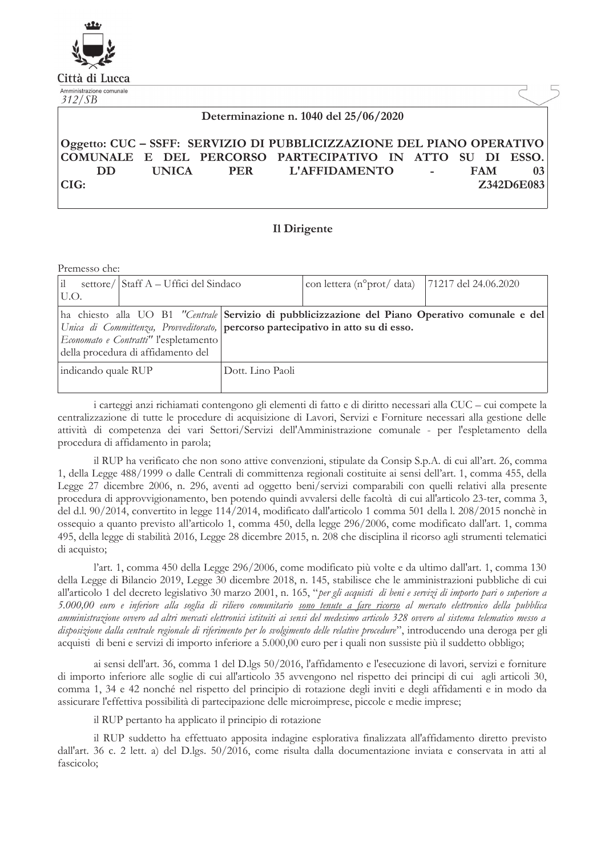

Città di Lucca Amministrazione comunale

| Amministrazione comunale<br>312/SB |  |                                                                       |  |            |            |
|------------------------------------|--|-----------------------------------------------------------------------|--|------------|------------|
|                                    |  | Determinazione n. 1040 del 25/06/2020                                 |  |            |            |
|                                    |  | Oggetto: CUC – SSFF: SERVIZIO DI PUBBLICIZZAZIONE DEL PIANO OPERATIVO |  |            |            |
|                                    |  | COMUNALE E DEL PERCORSO PARTECIPATIVO IN ATTO SU DI ESSO.             |  |            |            |
| DD.                                |  | UNICA PER L'AFFIDAMENTO -                                             |  | <b>FAM</b> | 03         |
| CIG:                               |  |                                                                       |  |            | Z342D6E083 |
|                                    |  |                                                                       |  |            |            |

## **Il Dirigente**

| Premesso che:                                                                                                                                                                                                                                                      |                  |  |                                                   |  |  |  |
|--------------------------------------------------------------------------------------------------------------------------------------------------------------------------------------------------------------------------------------------------------------------|------------------|--|---------------------------------------------------|--|--|--|
| ΙiΙ<br>settore/ Staff A – Uffici del Sindaco<br>U.O.                                                                                                                                                                                                               |                  |  | con lettera (n° prot/data)   71217 del 24.06.2020 |  |  |  |
| ha chiesto alla UO B1 "Centrale Servizio di pubblicizzazione del Piano Operativo comunale e del<br>Unica di Committenza, Provveditorato, percorso partecipativo in atto su di esso.<br>Economato e Contratti" l'espletamento<br>della procedura di affidamento del |                  |  |                                                   |  |  |  |
| indicando quale RUP                                                                                                                                                                                                                                                | Dott. Lino Paoli |  |                                                   |  |  |  |

i carteggi anzi richiamati contengono gli elementi di fatto e di diritto necessari alla CUC – cui compete la centralizzazione di tutte le procedure di acquisizione di Lavori, Servizi e Forniture necessari alla gestione delle attività di competenza dei vari Settori/Servizi dell'Amministrazione comunale - per l'espletamento della procedura di affidamento in parola;

il RUP ha verificato che non sono attive convenzioni, stipulate da Consip S.p.A. di cui all'art. 26, comma 1, della Legge 488/1999 o dalle Centrali di committenza regionali costituite ai sensi dell'art. 1, comma 455, della Legge 27 dicembre 2006, n. 296, aventi ad oggetto beni/servizi comparabili con quelli relativi alla presente procedura di approvvigionamento, ben potendo quindi avvalersi delle facoltà di cui all'articolo 23-ter, comma 3, del d.l. 90/2014, convertito in legge 114/2014, modificato dall'articolo 1 comma 501 della l. 208/2015 nonchè in ossequio a quanto previsto all'articolo 1, comma 450, della legge 296/2006, come modificato dall'art. 1, comma 495, della legge di stabilità 2016, Legge 28 dicembre 2015, n. 208 che disciplina il ricorso agli strumenti telematici di acquisto;

l'art. 1, comma 450 della Legge 296/2006, come modificato più volte e da ultimo dall'art. 1, comma 130 della Legge di Bilancio 2019, Legge 30 dicembre 2018, n. 145, stabilisce che le amministrazioni pubbliche di cui all'articolo 1 del decreto legislativo 30 marzo 2001, n. 165, "per gli acquisti di beni e servizi di importo pari o superiore a 5.000,00 euro e inferiore alla soglia di rilievo comunitario <u>sono tenute a fare ricorso</u> al mercato elettronico della pubblica amministrazione ovvero ad altri mercati elettronici istituiti ai sensi del medesimo articolo 328 ovvero al sistema telematico messo a disposizione dalla centrale regionale di riferimento per lo svolgimento delle relative procedure", introducendo una deroga per gli acquisti di beni e servizi di importo inferiore a 5.000,00 euro per i quali non sussiste più il suddetto obbligo;

ai sensi dell'art. 36, comma 1 del D.lgs 50/2016, l'affidamento e l'esecuzione di lavori, servizi e forniture di importo inferiore alle soglie di cui all'articolo 35 avvengono nel rispetto dei principi di cui agli articoli 30, comma 1, 34 e 42 nonché nel rispetto del principio di rotazione degli inviti e degli affidamenti e in modo da assicurare l'effettiva possibilità di partecipazione delle microimprese, piccole e medie imprese;

il RUP pertanto ha applicato il principio di rotazione

il RUP suddetto ha effettuato apposita indagine esplorativa finalizzata all'affidamento diretto previsto dall'art. 36 c. 2 lett. a) del D.lgs. 50/2016, come risulta dalla documentazione inviata e conservata in atti al fascicolo: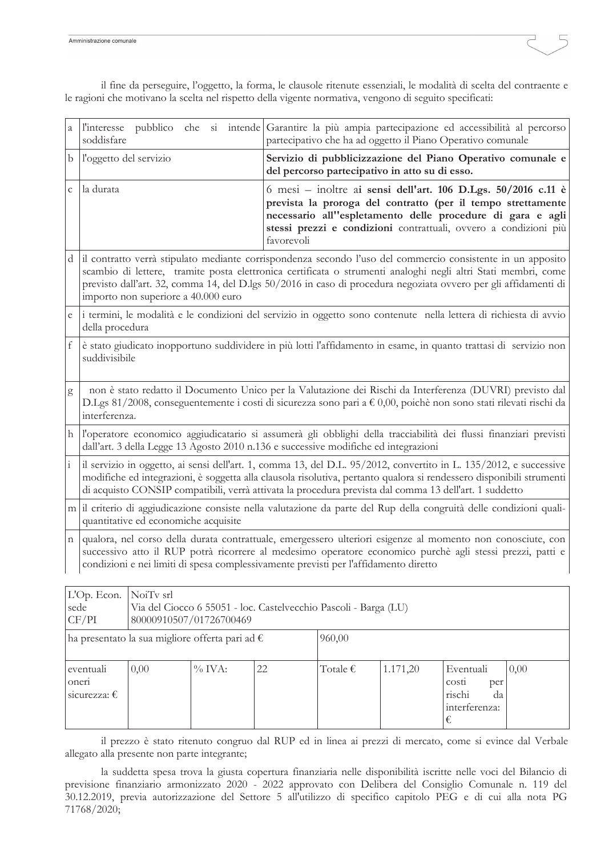| а             | l'interesse<br>soddisfare                                                                                                                                                                                                                                                                                                                                                              | pubblico che si intende Garantire la più ampia partecipazione ed accessibilità al percorso<br>partecipativo che ha ad oggetto il Piano Operativo comunale                                                                                                                      |  |  |  |  |
|---------------|----------------------------------------------------------------------------------------------------------------------------------------------------------------------------------------------------------------------------------------------------------------------------------------------------------------------------------------------------------------------------------------|--------------------------------------------------------------------------------------------------------------------------------------------------------------------------------------------------------------------------------------------------------------------------------|--|--|--|--|
| b             | l'oggetto del servizio                                                                                                                                                                                                                                                                                                                                                                 | Servizio di pubblicizzazione del Piano Operativo comunale e<br>del percorso partecipativo in atto su di esso.                                                                                                                                                                  |  |  |  |  |
| $\mathsf C$   | la durata                                                                                                                                                                                                                                                                                                                                                                              | 6 mesi – inoltre ai sensi dell'art. 106 D.Lgs. 50/2016 c.11 è<br>prevista la proroga del contratto (per il tempo strettamente<br>necessario all''espletamento delle procedure di gara e agli<br>stessi prezzi e condizioni contrattuali, ovvero a condizioni più<br>favorevoli |  |  |  |  |
| d             | il contratto verrà stipulato mediante corrispondenza secondo l'uso del commercio consistente in un apposito<br>scambio di lettere, tramite posta elettronica certificata o strumenti analoghi negli altri Stati membri, come<br>previsto dall'art. 32, comma 14, del D.lgs 50/2016 in caso di procedura negoziata ovvero per gli affidamenti di<br>importo non superiore a 40.000 euro |                                                                                                                                                                                                                                                                                |  |  |  |  |
| e             | i termini, le modalità e le condizioni del servizio in oggetto sono contenute nella lettera di richiesta di avvio<br>della procedura                                                                                                                                                                                                                                                   |                                                                                                                                                                                                                                                                                |  |  |  |  |
| f             | è stato giudicato inopportuno suddividere in più lotti l'affidamento in esame, in quanto trattasi di servizio non<br>suddivisibile                                                                                                                                                                                                                                                     |                                                                                                                                                                                                                                                                                |  |  |  |  |
| g             | non è stato redatto il Documento Unico per la Valutazione dei Rischi da Interferenza (DUVRI) previsto dal<br>D.Lgs 81/2008, conseguentemente i costi di sicurezza sono pari a € 0,00, poichè non sono stati rilevati rischi da<br>interferenza.                                                                                                                                        |                                                                                                                                                                                                                                                                                |  |  |  |  |
| h             | l'operatore economico aggiudicatario si assumerà gli obblighi della tracciabilità dei flussi finanziari previsti<br>dall'art. 3 della Legge 13 Agosto 2010 n.136 e successive modifiche ed integrazioni                                                                                                                                                                                |                                                                                                                                                                                                                                                                                |  |  |  |  |
| $\frac{1}{1}$ | il servizio in oggetto, ai sensi dell'art. 1, comma 13, del D.L. 95/2012, convertito in L. 135/2012, e successive<br>modifiche ed integrazioni, è soggetta alla clausola risolutiva, pertanto qualora si rendessero disponibili strumenti<br>di acquisto CONSIP compatibili, verrà attivata la procedura prevista dal comma 13 dell'art. 1 suddetto                                    |                                                                                                                                                                                                                                                                                |  |  |  |  |
|               | m il criterio di aggiudicazione consiste nella valutazione da parte del Rup della congruità delle condizioni quali-<br>quantitative ed economiche acquisite                                                                                                                                                                                                                            |                                                                                                                                                                                                                                                                                |  |  |  |  |
| n             | qualora, nel corso della durata contrattuale, emergessero ulteriori esigenze al momento non conosciute, con<br>successivo atto il RUP potrà ricorrere al medesimo operatore economico purchè agli stessi prezzi, patti e<br>condizioni e nei limiti di spesa complessivamente previsti per l'affidamento diretto                                                                       |                                                                                                                                                                                                                                                                                |  |  |  |  |
|               | L'Op. Econ.   NoiTv srl                                                                                                                                                                                                                                                                                                                                                                |                                                                                                                                                                                                                                                                                |  |  |  |  |
|               | $_{\text{c} \rho}$ d $_{\text{o}}$                                                                                                                                                                                                                                                                                                                                                     | $V_{12}$ del Ciocco 6.55051 - $\log$ Castelyecchio Pascoli - Barca (LI)                                                                                                                                                                                                        |  |  |  |  |

il fine da perseguire, l'oggetto, la forma, le clausole ritenute essenziali, le modalità di scelta del contraente e le ragioni che motivano la scelta nel rispetto della vigente normativa, vengono di seguito specificati:

| L'Op. Econ.<br>sede<br>CF/PI                             | NoiTv srl<br>Via del Ciocco 6 55051 - loc. Castelvecchio Pascoli - Barga (LU)<br>80000910507/01726700469 |           |        |                   |          |                                                                 |      |
|----------------------------------------------------------|----------------------------------------------------------------------------------------------------------|-----------|--------|-------------------|----------|-----------------------------------------------------------------|------|
| ha presentato la sua migliore offerta pari ad $\epsilon$ |                                                                                                          |           | 960,00 |                   |          |                                                                 |      |
| eventuali<br>onen<br>sicurezza: $\epsilon$               | 0,00                                                                                                     | $\%$ IVA: | 22     | Totale $\epsilon$ | 1.171,20 | Eventuali<br>costi<br>per<br>rischi<br>da<br>interferenza:<br>€ | 0,00 |

il prezzo è stato ritenuto congruo dal RUP ed in linea ai prezzi di mercato, come si evince dal Verbale allegato alla presente non parte integrante;

la suddetta spesa trova la giusta copertura finanziaria nelle disponibilità iscritte nelle voci del Bilancio di previsione finanziario armonizzato 2020 - 2022 approvato con Delibera del Consiglio Comunale n. 119 del 30.12.2019, previa autorizzazione del Settore 5 all'utilizzo di specifico capitolo PEG e di cui alla nota PG 71768/2020;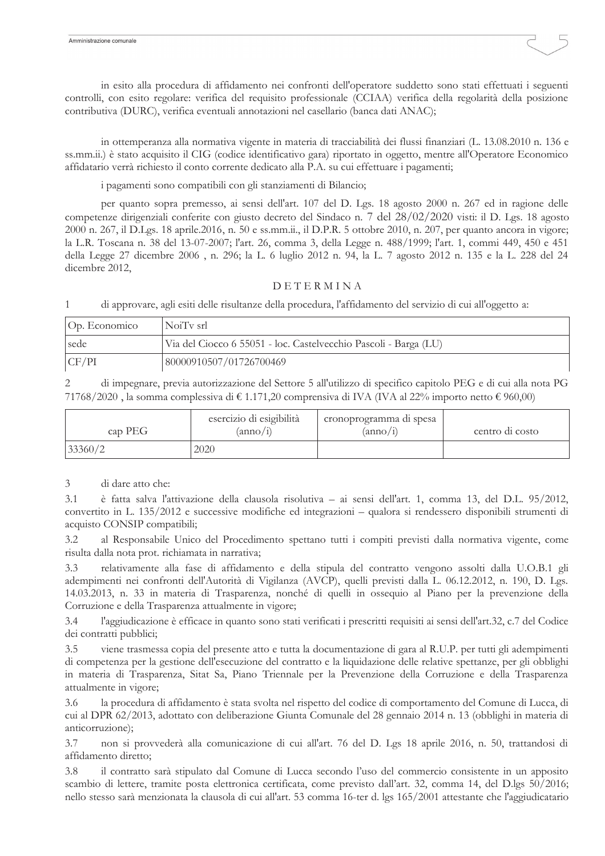in esito alla procedura di affidamento nei confronti dell'operatore suddetto sono stati effettuati i seguenti controlli, con esito regolare: verifica del requisito professionale (CCIAA) verifica della regolarità della posizione contributiva (DURC), verifica eventuali annotazioni nel casellario (banca dati ANAC);

in ottemperanza alla normativa vigente in materia di tracciabilità dei flussi finanziari (L. 13.08.2010 n. 136 e ss.mm.ii.) è stato acquisito il CIG (codice identificativo gara) riportato in oggetto, mentre all'Operatore Economico affidatario verrà richiesto il conto corrente dedicato alla P.A. su cui effettuare i pagamenti;

i pagamenti sono compatibili con gli stanziamenti di Bilancio;

per quanto sopra premesso, ai sensi dell'art. 107 del D. Lgs. 18 agosto 2000 n. 267 ed in ragione delle competenze dirigenziali conferite con giusto decreto del Sindaco n. 7 del 28/02/2020 visti: il D. Lgs. 18 agosto 2000 n. 267, il D.Lgs. 18 aprile.2016, n. 50 e ss.mm.ii., il D.P.R. 5 ottobre 2010, n. 207, per quanto ancora in vigore; la L.R. Toscana n. 38 del 13-07-2007; l'art. 26, comma 3, della Legge n. 488/1999; l'art. 1, commi 449, 450 e 451 della Legge 27 dicembre 2006, n. 296; la L. 6 luglio 2012 n. 94, la L. 7 agosto 2012 n. 135 e la L. 228 del 24 dicembre 2012.

## **DETERMINA**

 $\mathbf{1}$ di approvare, agli esiti delle risultanze della procedura, l'affidamento del servizio di cui all'oggetto a:

| Op. Economico | NoiTy srl                                                        |
|---------------|------------------------------------------------------------------|
| sede          | Via del Ciocco 6 55051 - loc. Castelvecchio Pascoli - Barga (LU) |
| CF/PI         | 80000910507/01726700469                                          |

di impegnare, previa autorizzazione del Settore 5 all'utilizzo di specifico capitolo PEG e di cui alla nota PG 71768/2020, la somma complessiva di  $\epsilon$  1.171,20 comprensiva di IVA (IVA al 22% importo netto  $\epsilon$  960,00)

| cap PEG | esercizio di esigibilità<br>$(\text{anno}/i)$ | cronoprogramma di spesa<br>$(\text{anno}/1)$ | centro di costo |
|---------|-----------------------------------------------|----------------------------------------------|-----------------|
| 33360/2 | 2020                                          |                                              |                 |

 $\overline{\mathcal{E}}$ di dare atto che:

 $3.1$ è fatta salva l'attivazione della clausola risolutiva – ai sensi dell'art. 1, comma 13, del D.L. 95/2012, convertito in L. 135/2012 e successive modifiche ed integrazioni – qualora si rendessero disponibili strumenti di acquisto CONSIP compatibili;

al Responsabile Unico del Procedimento spettano tutti i compiti previsti dalla normativa vigente, come  $3.2.$ risulta dalla nota prot. richiamata in narrativa;

relativamente alla fase di affidamento e della stipula del contratto vengono assolti dalla U.O.B.1 gli  $3.3$ adempimenti nei confronti dell'Autorità di Vigilanza (AVCP), quelli previsti dalla L. 06.12.2012, n. 190, D. Lgs. 14.03.2013, n. 33 in materia di Trasparenza, nonché di quelli in ossequio al Piano per la prevenzione della Corruzione e della Trasparenza attualmente in vigore;

 $3.4$ l'aggiudicazione è efficace in quanto sono stati verificati i prescritti requisiti ai sensi dell'art.32, c.7 del Codice dei contratti pubblici;

 $3.5$ viene trasmessa copia del presente atto e tutta la documentazione di gara al R.U.P. per tutti gli adempimenti di competenza per la gestione dell'esecuzione del contratto e la liquidazione delle relative spettanze, per gli obblighi in materia di Trasparenza, Sitat Sa, Piano Triennale per la Prevenzione della Corruzione e della Trasparenza attualmente in vigore;

la procedura di affidamento è stata svolta nel rispetto del codice di comportamento del Comune di Lucca, di 3.6 cui al DPR 62/2013, adottato con deliberazione Giunta Comunale del 28 gennaio 2014 n. 13 (obblighi in materia di anticorruzione);

non si provvederà alla comunicazione di cui all'art. 76 del D. Lgs 18 aprile 2016, n. 50, trattandosi di 3.7 affidamento diretto;

il contratto sarà stipulato dal Comune di Lucca secondo l'uso del commercio consistente in un apposito 3.8 scambio di lettere, tramite posta elettronica certificata, come previsto dall'art. 32, comma 14, del D.lgs 50/2016; nello stesso sarà menzionata la clausola di cui all'art. 53 comma 16-ter d. lgs 165/2001 attestante che l'aggiudicatario